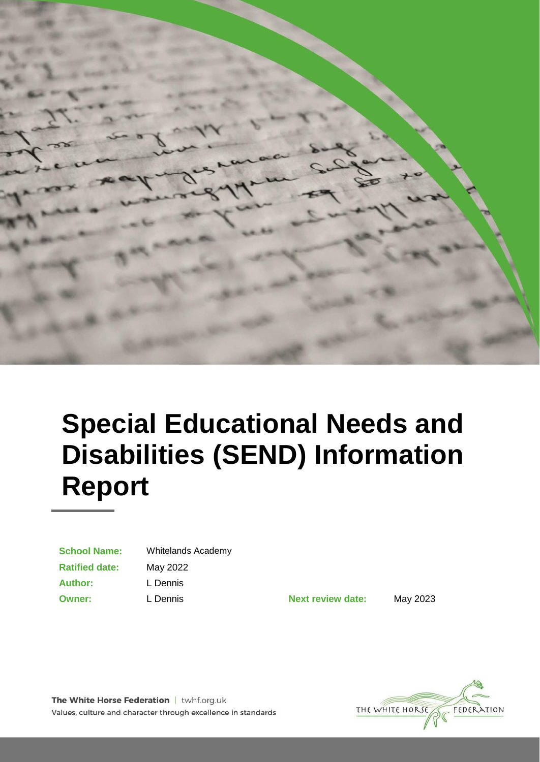

# **Special Educational Needs and Disabilities (SEND) Information Report**

| <b>School Name:</b>   |
|-----------------------|
| <b>Ratified date:</b> |
| <b>Author:</b>        |
| <b>Owner:</b>         |

**School Name:** Whitelands Academy **Ratified date:** May 2022 **Author:** L Dennis

**Owner:** L Dennis **Next review date:** May 2023



The White Horse Federation | twhf.org.uk Values, culture and character through excellence in standards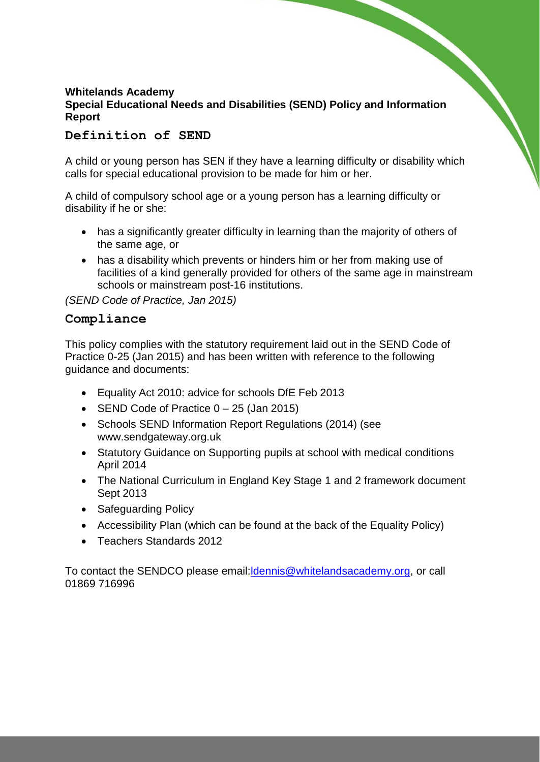### **Whitelands Academy Special Educational Needs and Disabilities (SEND) Policy and Information Report**

## **Definition of SEND**

A child or young person has SEN if they have a learning difficulty or disability which calls for special educational provision to be made for him or her.

A child of compulsory school age or a young person has a learning difficulty or disability if he or she:

- has a significantly greater difficulty in learning than the majority of others of the same age, or
- has a disability which prevents or hinders him or her from making use of facilities of a kind generally provided for others of the same age in mainstream schools or mainstream post-16 institutions.

*(SEND Code of Practice, Jan 2015)*

#### **Compliance**

This policy complies with the statutory requirement laid out in the SEND Code of Practice 0-25 (Jan 2015) and has been written with reference to the following guidance and documents:

- Equality Act 2010: advice for schools DfE Feb 2013
- SEND Code of Practice  $0 25$  (Jan 2015)
- Schools SEND Information Report Regulations (2014) (see [www.sendgateway.org.uk](http://www.sendgateway.org.uk/)
- Statutory Guidance on Supporting pupils at school with medical conditions April 2014
- The National Curriculum in England Key Stage 1 and 2 framework document Sept 2013
- Safeguarding Policy
- Accessibility Plan (which can be found at the back of the Equality Policy)
- Teachers Standards 2012

To contact the SENDCO please email:ldennis@whitelandsacademy.org, or call 01869 716996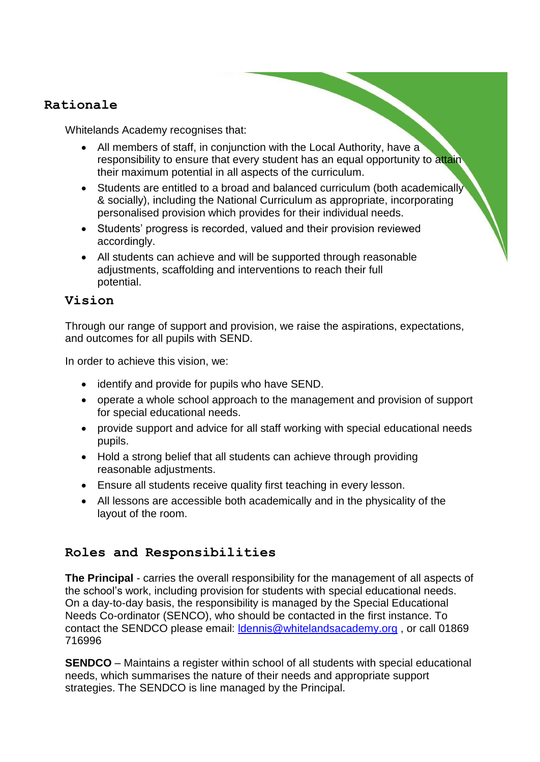# **Rationale**

Whitelands Academy recognises that:

- All members of staff, in conjunction with the Local Authority, have a responsibility to ensure that every student has an equal opportunity to attain their maximum potential in all aspects of the curriculum.
- Students are entitled to a broad and balanced curriculum (both academically & socially), including the National Curriculum as appropriate, incorporating personalised provision which provides for their individual needs.
- Students' progress is recorded, valued and their provision reviewed accordingly.
- All students can achieve and will be supported through reasonable adjustments, scaffolding and interventions to reach their full potential.

# **Vision**

Through our range of support and provision, we raise the aspirations, expectations, and outcomes for all pupils with SEND.

In order to achieve this vision, we:

- identify and provide for pupils who have SEND.
- operate a whole school approach to the management and provision of support for special educational needs.
- provide support and advice for all staff working with special educational needs pupils.
- Hold a strong belief that all students can achieve through providing reasonable adjustments.
- Ensure all students receive quality first teaching in every lesson.
- All lessons are accessible both academically and in the physicality of the layout of the room.

# **Roles and Responsibilities**

**The Principal** - carries the overall responsibility for the management of all aspects of the school's work, including provision for students with special educational needs. On a day-to-day basis, the responsibility is managed by the Special Educational Needs Co-ordinator (SENCO), who should be contacted in the first instance. To contact the SENDCO please email: [ldennis@whitelandsacademy.org](mailto:ldennis@whitelandsacademy.org) , or call 01869 716996

**SENDCO** – Maintains a register within school of all students with special educational needs, which summarises the nature of their needs and appropriate support strategies. The SENDCO is line managed by the Principal.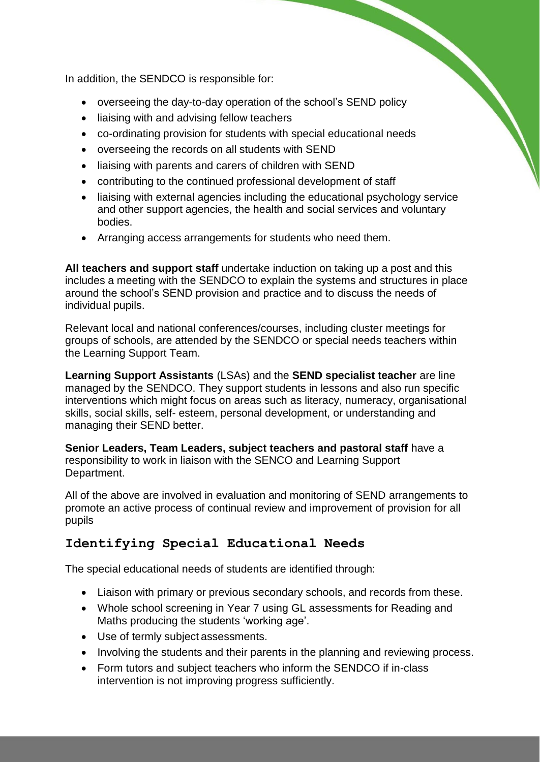In addition, the SENDCO is responsible for:

- overseeing the day-to-day operation of the school's SEND policy
- liaising with and advising fellow teachers
- co-ordinating provision for students with special educational needs
- overseeing the records on all students with SEND
- liaising with parents and carers of children with SEND
- contributing to the continued professional development of staff
- liaising with external agencies including the educational psychology service and other support agencies, the health and social services and voluntary bodies.
- Arranging access arrangements for students who need them.

**All teachers and support staff** undertake induction on taking up a post and this includes a meeting with the SENDCO to explain the systems and structures in place around the school's SEND provision and practice and to discuss the needs of individual pupils.

Relevant local and national conferences/courses, including cluster meetings for groups of schools, are attended by the SENDCO or special needs teachers within the Learning Support Team.

**Learning Support Assistants** (LSAs) and the **SEND specialist teacher** are line managed by the SENDCO. They support students in lessons and also run specific interventions which might focus on areas such as literacy, numeracy, organisational skills, social skills, self- esteem, personal development, or understanding and managing their SEND better.

**Senior Leaders, Team Leaders, subject teachers and pastoral staff** have a responsibility to work in liaison with the SENCO and Learning Support Department.

All of the above are involved in evaluation and monitoring of SEND arrangements to promote an active process of continual review and improvement of provision for all pupils

# **Identifying Special Educational Needs**

The special educational needs of students are identified through:

- Liaison with primary or previous secondary schools, and records from these.
- Whole school screening in Year 7 using GL assessments for Reading and Maths producing the students 'working age'.
- Use of termly subject assessments.
- Involving the students and their parents in the planning and reviewing process.
- Form tutors and subject teachers who inform the SENDCO if in-class intervention is not improving progress sufficiently.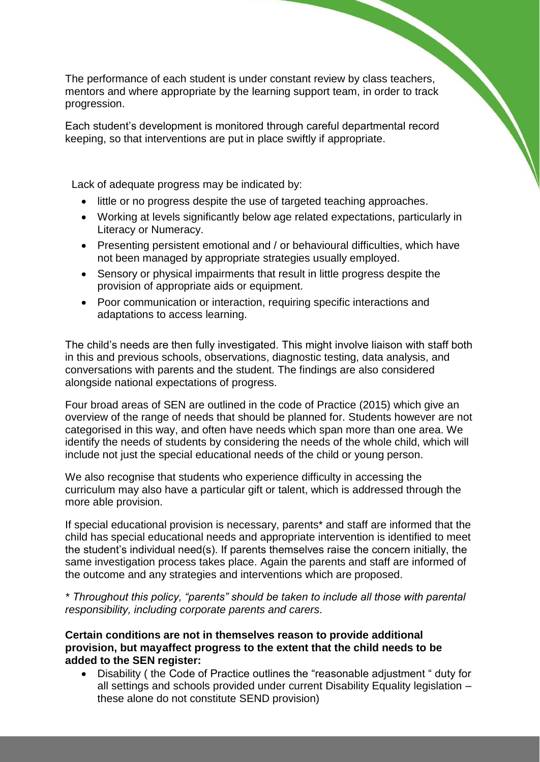The performance of each student is under constant review by class teachers, mentors and where appropriate by the learning support team, in order to track progression.

Each student's development is monitored through careful departmental record keeping, so that interventions are put in place swiftly if appropriate.

Lack of adequate progress may be indicated by:

- little or no progress despite the use of targeted teaching approaches.
- Working at levels significantly below age related expectations, particularly in Literacy or Numeracy.
- Presenting persistent emotional and / or behavioural difficulties, which have not been managed by appropriate strategies usually employed.
- Sensory or physical impairments that result in little progress despite the provision of appropriate aids or equipment.
- Poor communication or interaction, requiring specific interactions and adaptations to access learning.

The child's needs are then fully investigated. This might involve liaison with staff both in this and previous schools, observations, diagnostic testing, data analysis, and conversations with parents and the student. The findings are also considered alongside national expectations of progress.

Four broad areas of SEN are outlined in the code of Practice (2015) which give an overview of the range of needs that should be planned for. Students however are not categorised in this way, and often have needs which span more than one area. We identify the needs of students by considering the needs of the whole child, which will include not just the special educational needs of the child or young person.

We also recognise that students who experience difficulty in accessing the curriculum may also have a particular gift or talent, which is addressed through the more able provision.

If special educational provision is necessary, parents\* and staff are informed that the child has special educational needs and appropriate intervention is identified to meet the student's individual need(s). If parents themselves raise the concern initially, the same investigation process takes place. Again the parents and staff are informed of the outcome and any strategies and interventions which are proposed.

*\* Throughout this policy, "parents" should be taken to include all those with parental responsibility, including corporate parents and carers*.

**Certain conditions are not in themselves reason to provide additional provision, but mayaffect progress to the extent that the child needs to be added to the SEN register:**

• Disability ( the Code of Practice outlines the "reasonable adjustment " duty for all settings and schools provided under current Disability Equality legislation – these alone do not constitute SEND provision)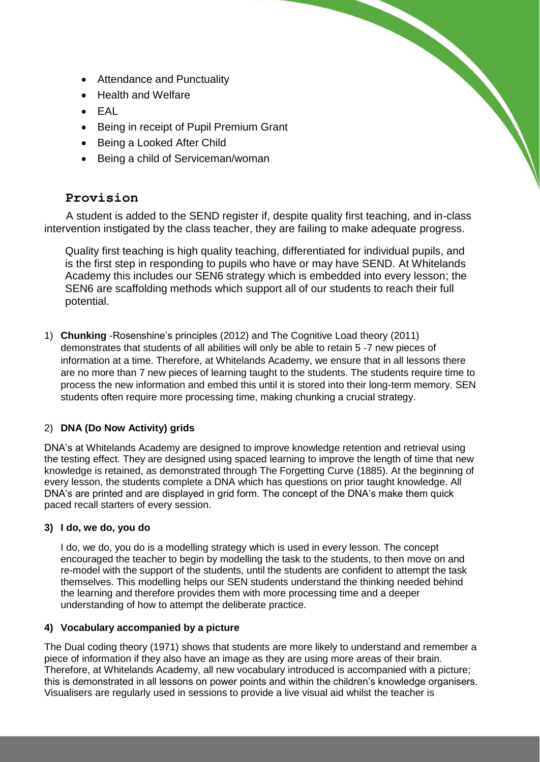- Attendance and Punctuality
- Health and Welfare
- $\bullet$  FAL
- Being in receipt of Pupil Premium Grant
- Being a Looked After Child
- Being a child of Serviceman/woman

# **Provision**

A student is added to the SEND register if, despite quality first teaching, and in-class intervention instigated by the class teacher, they are failing to make adequate progress.

Quality first teaching is high quality teaching, differentiated for individual pupils, and is the first step in responding to pupils who have or may have SEND. At Whitelands Academy this includes our SEN6 strategy which is embedded into every lesson; the SEN6 are scaffolding methods which support all of our students to reach their full potential.

1) **Chunking** -Rosenshine's principles (2012) and The Cognitive Load theory (2011) demonstrates that students of all abilities will only be able to retain 5 -7 new pieces of information at a time. Therefore, at Whitelands Academy, we ensure that in all lessons there are no more than 7 new pieces of learning taught to the students. The students require time to process the new information and embed this until it is stored into their long-term memory. SEN students often require more processing time, making chunking a crucial strategy.

## 2) **DNA (Do Now Activity) grids**

DNA's at Whitelands Academy are designed to improve knowledge retention and retrieval using the testing effect. They are designed using spaced learning to improve the length of time that new knowledge is retained, as demonstrated through The Forgetting Curve (1885). At the beginning of every lesson, the students complete a DNA which has questions on prior taught knowledge. All DNA's are printed and are displayed in grid form. The concept of the DNA's make them quick paced recall starters of every session.

#### **3) I do, we do, you do**

I do, we do, you do is a modelling strategy which is used in every lesson. The concept encouraged the teacher to begin by modelling the task to the students, to then move on and re-model with the support of the students, until the students are confident to attempt the task themselves. This modelling helps our SEN students understand the thinking needed behind the learning and therefore provides them with more processing time and a deeper understanding of how to attempt the deliberate practice.

#### **4) Vocabulary accompanied by a picture**

The Dual coding theory (1971) shows that students are more likely to understand and remember a piece of information if they also have an image as they are using more areas of their brain. Therefore, at Whitelands Academy, all new vocabulary introduced is accompanied with a picture; this is demonstrated in all lessons on power points and within the children's knowledge organisers. Visualisers are regularly used in sessions to provide a live visual aid whilst the teacher is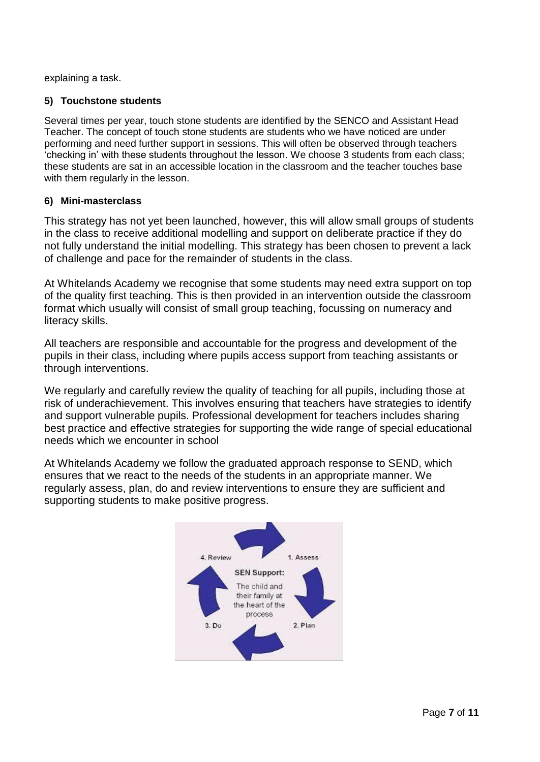explaining a task.

#### **5) Touchstone students**

Several times per year, touch stone students are identified by the SENCO and Assistant Head Teacher. The concept of touch stone students are students who we have noticed are under performing and need further support in sessions. This will often be observed through teachers 'checking in' with these students throughout the lesson. We choose 3 students from each class; these students are sat in an accessible location in the classroom and the teacher touches base with them regularly in the lesson.

#### **6) Mini-masterclass**

This strategy has not yet been launched, however, this will allow small groups of students in the class to receive additional modelling and support on deliberate practice if they do not fully understand the initial modelling. This strategy has been chosen to prevent a lack of challenge and pace for the remainder of students in the class.

At Whitelands Academy we recognise that some students may need extra support on top of the quality first teaching. This is then provided in an intervention outside the classroom format which usually will consist of small group teaching, focussing on numeracy and literacy skills.

All teachers are responsible and accountable for the progress and development of the pupils in their class, including where pupils access support from teaching assistants or through interventions.

We regularly and carefully review the quality of teaching for all pupils, including those at risk of underachievement. This involves ensuring that teachers have strategies to identify and support vulnerable pupils. Professional development for teachers includes sharing best practice and effective strategies for supporting the wide range of special educational needs which we encounter in school

At Whitelands Academy we follow the graduated approach response to SEND, which ensures that we react to the needs of the students in an appropriate manner. We regularly assess, plan, do and review interventions to ensure they are sufficient and supporting students to make positive progress.

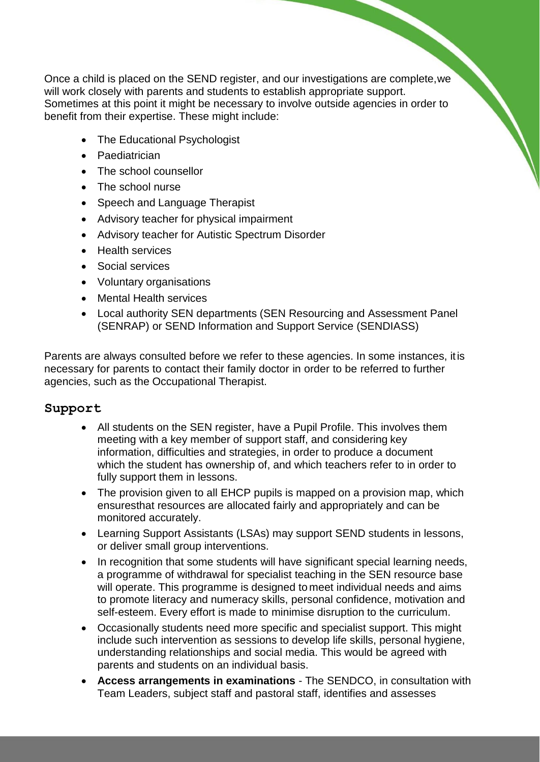Once a child is placed on the SEND register, and our investigations are complete,we will work closely with parents and students to establish appropriate support. Sometimes at this point it might be necessary to involve outside agencies in order to benefit from their expertise. These might include:

- The Educational Psychologist
- Paediatrician
- The school counsellor
- The school nurse
- Speech and Language Therapist
- Advisory teacher for physical impairment
- Advisory teacher for Autistic Spectrum Disorder
- Health services
- Social services
- Voluntary organisations
- Mental Health services
- Local authority SEN departments (SEN Resourcing and Assessment Panel (SENRAP) or SEND Information and Support Service (SENDIASS)

Parents are always consulted before we refer to these agencies. In some instances, it is necessary for parents to contact their family doctor in order to be referred to further agencies, such as the Occupational Therapist.

## **Support**

- All students on the SEN register, have a Pupil Profile. This involves them meeting with a key member of support staff, and considering key information, difficulties and strategies, in order to produce a document which the student has ownership of, and which teachers refer to in order to fully support them in lessons.
- The provision given to all EHCP pupils is mapped on a provision map, which ensuresthat resources are allocated fairly and appropriately and can be monitored accurately.
- Learning Support Assistants (LSAs) may support SEND students in lessons, or deliver small group interventions.
- In recognition that some students will have significant special learning needs, a programme of withdrawal for specialist teaching in the SEN resource base will operate. This programme is designed to meet individual needs and aims to promote literacy and numeracy skills, personal confidence, motivation and self-esteem. Every effort is made to minimise disruption to the curriculum.
- Occasionally students need more specific and specialist support. This might include such intervention as sessions to develop life skills, personal hygiene, understanding relationships and social media. This would be agreed with parents and students on an individual basis.
- **Access arrangements in examinations**  The SENDCO, in consultation with Team Leaders, subject staff and pastoral staff, identifies and assesses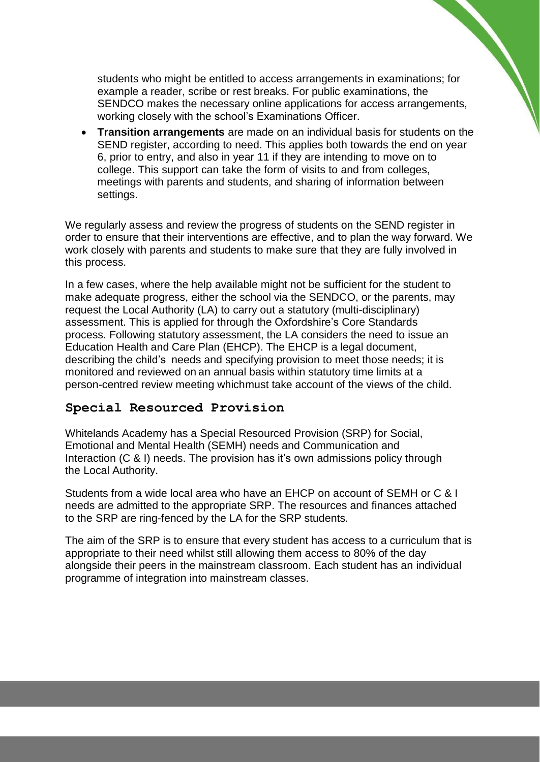students who might be entitled to access arrangements in examinations; for example a reader, scribe or rest breaks. For public examinations, the SENDCO makes the necessary online applications for access arrangements, working closely with the school's Examinations Officer.

• **Transition arrangements** are made on an individual basis for students on the SEND register, according to need. This applies both towards the end on year 6, prior to entry, and also in year 11 if they are intending to move on to college. This support can take the form of visits to and from colleges, meetings with parents and students, and sharing of information between settings.

We regularly assess and review the progress of students on the SEND register in order to ensure that their interventions are effective, and to plan the way forward. We work closely with parents and students to make sure that they are fully involved in this process.

In a few cases, where the help available might not be sufficient for the student to make adequate progress, either the school via the SENDCO, or the parents, may request the Local Authority (LA) to carry out a statutory (multi-disciplinary) assessment. This is applied for through the Oxfordshire's Core Standards process. Following statutory assessment, the LA considers the need to issue an Education Health and Care Plan (EHCP). The EHCP is a legal document, describing the child's needs and specifying provision to meet those needs; it is monitored and reviewed on an annual basis within statutory time limits at a person-centred review meeting whichmust take account of the views of the child.

# **Special Resourced Provision**

Whitelands Academy has a Special Resourced Provision (SRP) for Social, Emotional and Mental Health (SEMH) needs and Communication and Interaction (C & I) needs. The provision has it's own admissions policy through the Local Authority.

Students from a wide local area who have an EHCP on account of SEMH or C & I needs are admitted to the appropriate SRP. The resources and finances attached to the SRP are ring-fenced by the LA for the SRP students.

The aim of the SRP is to ensure that every student has access to a curriculum that is appropriate to their need whilst still allowing them access to 80% of the day alongside their peers in the mainstream classroom. Each student has an individual programme of integration into mainstream classes.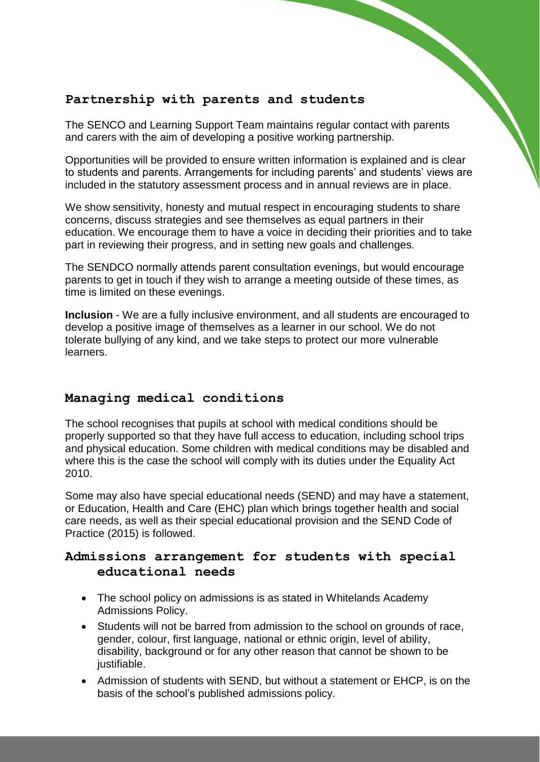# **Partnership with parents and students**

The SENCO and Learning Support Team maintains regular contact with parents and carers with the aim of developing a positive working partnership.

Opportunities will be provided to ensure written information is explained and is clear to students and parents. Arrangements for including parents' and students' views are included in the statutory assessment process and in annual reviews are in place.

We show sensitivity, honesty and mutual respect in encouraging students to share concerns, discuss strategies and see themselves as equal partners in their education. We encourage them to have a voice in deciding their priorities and to take part in reviewing their progress, and in setting new goals and challenges.

The SENDCO normally attends parent consultation evenings, but would encourage parents to get in touch if they wish to arrange a meeting outside of these times, as time is limited on these evenings.

**Inclusion** - We are a fully inclusive environment, and all students are encouraged to develop a positive image of themselves as a learner in our school. We do not tolerate bullying of any kind, and we take steps to protect our more vulnerable learners.

# **Managing medical conditions**

The school recognises that pupils at school with medical conditions should be properly supported so that they have full access to education, including school trips and physical education. Some children with medical conditions may be disabled and where this is the case the school will comply with its duties under the Equality Act 2010.

Some may also have special educational needs (SEND) and may have a statement, or Education, Health and Care (EHC) plan which brings together health and social care needs, as well as their special educational provision and the SEND Code of Practice (2015) is followed.

# **Admissions arrangement for students with special educational needs**

- The school policy on admissions is as stated in Whitelands Academy Admissions Policy.
- Students will not be barred from admission to the school on grounds of race, gender, colour, first language, national or ethnic origin, level of ability, disability, background or for any other reason that cannot be shown to be justifiable.
- Admission of students with SEND, but without a statement or EHCP, is on the basis of the school's published admissions policy.